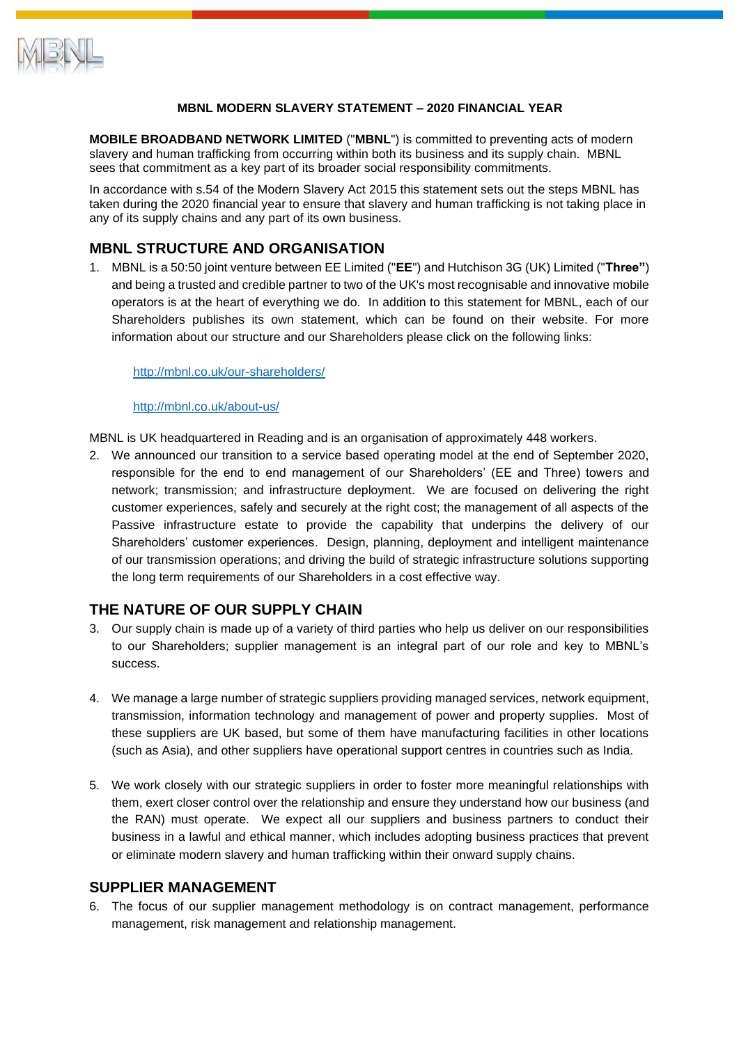

## **MBNL MODERN SLAVERY STATEMENT – 2020 FINANCIAL YEAR**

**MOBILE BROADBAND NETWORK LIMITED** ("**MBNL**") is committed to preventing acts of modern slavery and human trafficking from occurring within both its business and its supply chain. MBNL sees that commitment as a key part of its broader social responsibility commitments.

In accordance with s.54 of the Modern Slavery Act 2015 this statement sets out the steps MBNL has taken during the 2020 financial year to ensure that slavery and human trafficking is not taking place in any of its supply chains and any part of its own business.

# **MBNL STRUCTURE AND ORGANISATION**

1. MBNL is a 50:50 joint venture between EE Limited ("**EE**") and Hutchison 3G (UK) Limited ("**Three"**) and being a trusted and credible partner to two of the UK's most recognisable and innovative mobile operators is at the heart of everything we do. In addition to this statement for MBNL, each of our Shareholders publishes its own statement, which can be found on their website. For more information about our structure and our Shareholders please click on the following links:

<http://mbnl.co.uk/our-shareholders/>

<http://mbnl.co.uk/about-us/>

MBNL is UK headquartered in Reading and is an organisation of approximately 448 workers.

2. We announced our transition to a service based operating model at the end of September 2020, responsible for the end to end management of our Shareholders' (EE and Three) towers and network; transmission; and infrastructure deployment. We are focused on delivering the right customer experiences, safely and securely at the right cost; the management of all aspects of the Passive infrastructure estate to provide the capability that underpins the delivery of our Shareholders' customer experiences. Design, planning, deployment and intelligent maintenance of our transmission operations; and driving the build of strategic infrastructure solutions supporting the long term requirements of our Shareholders in a cost effective way.

## **THE NATURE OF OUR SUPPLY CHAIN**

- 3. Our supply chain is made up of a variety of third parties who help us deliver on our responsibilities to our Shareholders; supplier management is an integral part of our role and key to MBNL's success.
- 4. We manage a large number of strategic suppliers providing managed services, network equipment, transmission, information technology and management of power and property supplies. Most of these suppliers are UK based, but some of them have manufacturing facilities in other locations (such as Asia), and other suppliers have operational support centres in countries such as India.
- 5. We work closely with our strategic suppliers in order to foster more meaningful relationships with them, exert closer control over the relationship and ensure they understand how our business (and the RAN) must operate. We expect all our suppliers and business partners to conduct their business in a lawful and ethical manner, which includes adopting business practices that prevent or eliminate modern slavery and human trafficking within their onward supply chains.

## **SUPPLIER MANAGEMENT**

6. The focus of our supplier management methodology is on contract management, performance management, risk management and relationship management.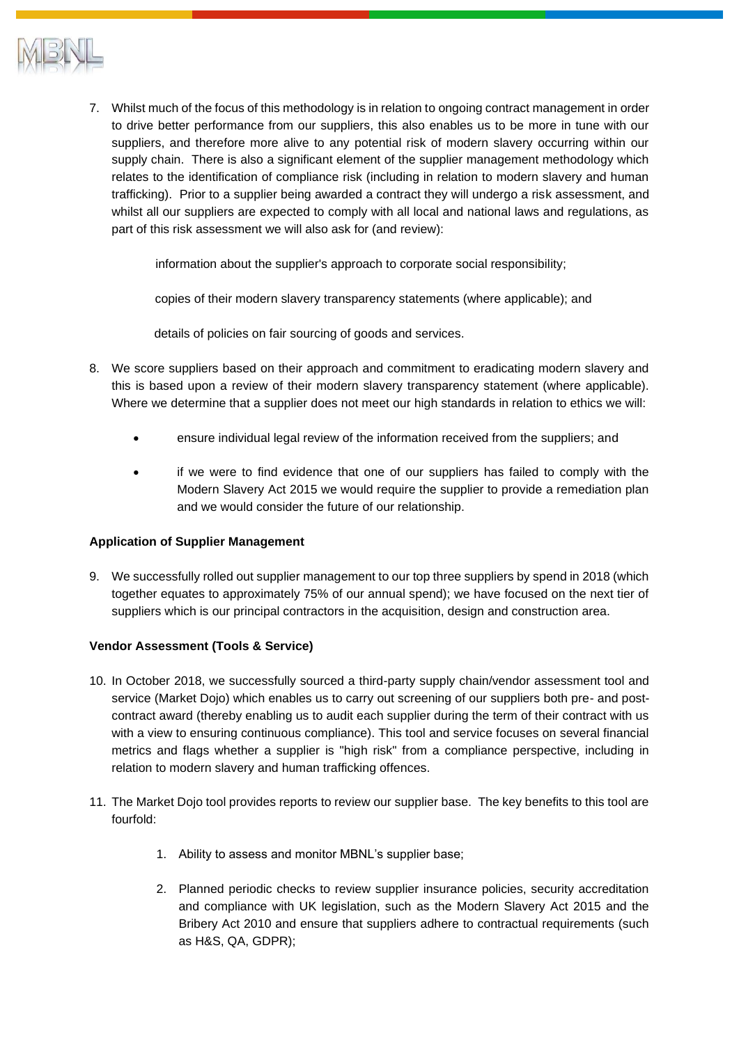

7. Whilst much of the focus of this methodology is in relation to ongoing contract management in order to drive better performance from our suppliers, this also enables us to be more in tune with our suppliers, and therefore more alive to any potential risk of modern slavery occurring within our supply chain. There is also a significant element of the supplier management methodology which relates to the identification of compliance risk (including in relation to modern slavery and human trafficking). Prior to a supplier being awarded a contract they will undergo a risk assessment, and whilst all our suppliers are expected to comply with all local and national laws and regulations, as part of this risk assessment we will also ask for (and review):

information about the supplier's approach to corporate social responsibility;

copies of their modern slavery transparency statements (where applicable); and

details of policies on fair sourcing of goods and services.

- 8. We score suppliers based on their approach and commitment to eradicating modern slavery and this is based upon a review of their modern slavery transparency statement (where applicable). Where we determine that a supplier does not meet our high standards in relation to ethics we will:
	- ensure individual legal review of the information received from the suppliers; and
	- if we were to find evidence that one of our suppliers has failed to comply with the Modern Slavery Act 2015 we would require the supplier to provide a remediation plan and we would consider the future of our relationship.

#### **Application of Supplier Management**

9. We successfully rolled out supplier management to our top three suppliers by spend in 2018 (which together equates to approximately 75% of our annual spend); we have focused on the next tier of suppliers which is our principal contractors in the acquisition, design and construction area.

#### **Vendor Assessment (Tools & Service)**

- 10. In October 2018, we successfully sourced a third-party supply chain/vendor assessment tool and service (Market Dojo) which enables us to carry out screening of our suppliers both pre- and postcontract award (thereby enabling us to audit each supplier during the term of their contract with us with a view to ensuring continuous compliance). This tool and service focuses on several financial metrics and flags whether a supplier is "high risk" from a compliance perspective, including in relation to modern slavery and human trafficking offences.
- 11. The Market Dojo tool provides reports to review our supplier base. The key benefits to this tool are fourfold:
	- 1. Ability to assess and monitor MBNL's supplier base;
	- 2. Planned periodic checks to review supplier insurance policies, security accreditation and compliance with UK legislation, such as the Modern Slavery Act 2015 and the Bribery Act 2010 and ensure that suppliers adhere to contractual requirements (such as H&S, QA, GDPR);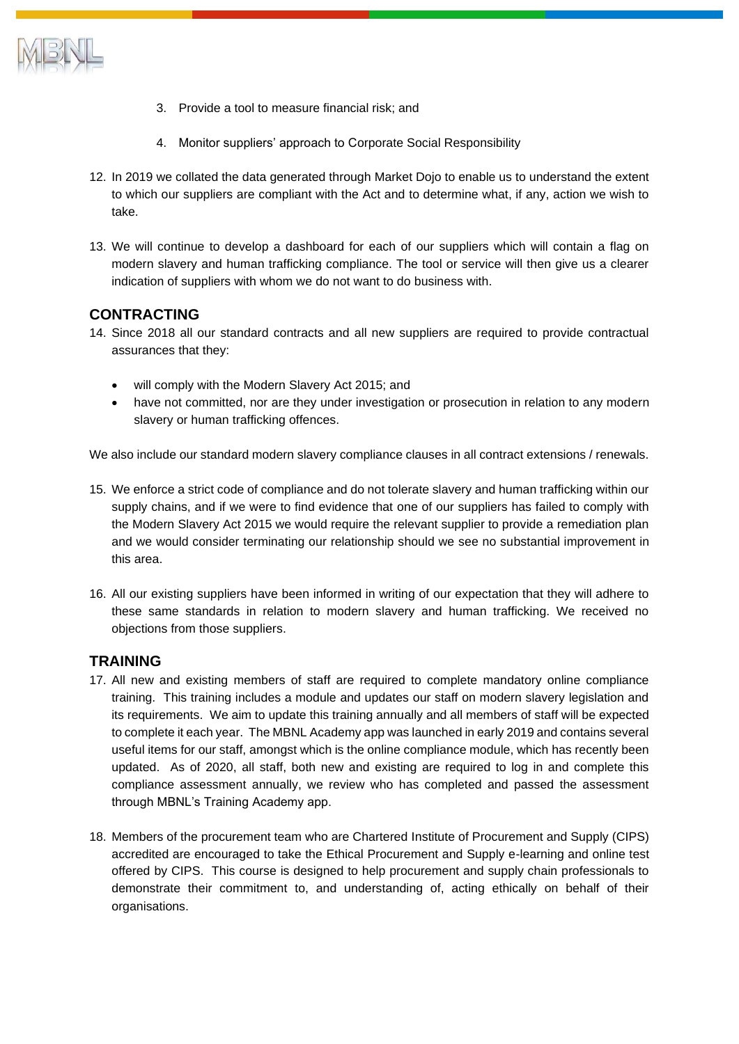

- 3. Provide a tool to measure financial risk; and
- 4. Monitor suppliers' approach to Corporate Social Responsibility
- 12. In 2019 we collated the data generated through Market Dojo to enable us to understand the extent to which our suppliers are compliant with the Act and to determine what, if any, action we wish to take.
- 13. We will continue to develop a dashboard for each of our suppliers which will contain a flag on modern slavery and human trafficking compliance. The tool or service will then give us a clearer indication of suppliers with whom we do not want to do business with.

## **CONTRACTING**

- 14. Since 2018 all our standard contracts and all new suppliers are required to provide contractual assurances that they:
	- will comply with the Modern Slavery Act 2015; and
	- have not committed, nor are they under investigation or prosecution in relation to any modern slavery or human trafficking offences.

We also include our standard modern slavery compliance clauses in all contract extensions / renewals.

- 15. We enforce a strict code of compliance and do not tolerate slavery and human trafficking within our supply chains, and if we were to find evidence that one of our suppliers has failed to comply with the Modern Slavery Act 2015 we would require the relevant supplier to provide a remediation plan and we would consider terminating our relationship should we see no substantial improvement in this area.
- 16. All our existing suppliers have been informed in writing of our expectation that they will adhere to these same standards in relation to modern slavery and human trafficking. We received no objections from those suppliers.

## **TRAINING**

- 17. All new and existing members of staff are required to complete mandatory online compliance training. This training includes a module and updates our staff on modern slavery legislation and its requirements. We aim to update this training annually and all members of staff will be expected to complete it each year. The MBNL Academy app was launched in early 2019 and contains several useful items for our staff, amongst which is the online compliance module, which has recently been updated. As of 2020, all staff, both new and existing are required to log in and complete this compliance assessment annually, we review who has completed and passed the assessment through MBNL's Training Academy app.
- 18. Members of the procurement team who are Chartered Institute of Procurement and Supply (CIPS) accredited are encouraged to take the Ethical Procurement and Supply e-learning and online test offered by CIPS. This course is designed to help procurement and supply chain professionals to demonstrate their commitment to, and understanding of, acting ethically on behalf of their organisations.